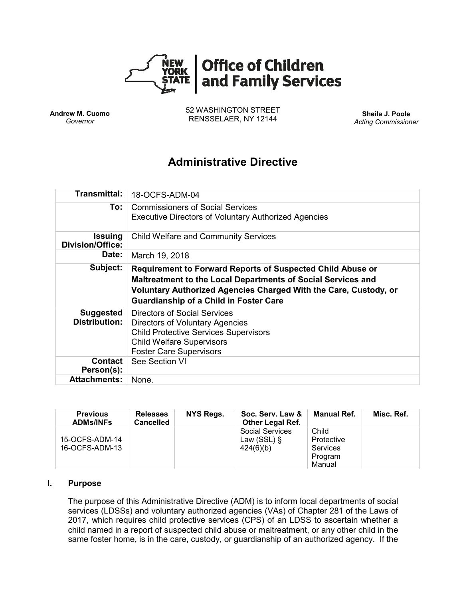

**Andrew M. Cuomo** *Governor*

52 WASHINGTON STREET RENSSELAER, NY 12144 **Sheila J. Poole**

*Acting Commissioner*

# **Administrative Directive**

| <b>Transmittal:</b>                       | 18-OCFS-ADM-04                                                                                                                                                                                                                                         |  |  |  |  |
|-------------------------------------------|--------------------------------------------------------------------------------------------------------------------------------------------------------------------------------------------------------------------------------------------------------|--|--|--|--|
| To:                                       | <b>Commissioners of Social Services</b><br><b>Executive Directors of Voluntary Authorized Agencies</b>                                                                                                                                                 |  |  |  |  |
| <b>Issuing</b><br><b>Division/Office:</b> | <b>Child Welfare and Community Services</b>                                                                                                                                                                                                            |  |  |  |  |
| Date:                                     | March 19, 2018                                                                                                                                                                                                                                         |  |  |  |  |
| Subject:                                  | <b>Requirement to Forward Reports of Suspected Child Abuse or</b><br>Maltreatment to the Local Departments of Social Services and<br>Voluntary Authorized Agencies Charged With the Care, Custody, or<br><b>Guardianship of a Child in Foster Care</b> |  |  |  |  |
| <b>Suggested</b><br><b>Distribution:</b>  | Directors of Social Services<br>Directors of Voluntary Agencies<br><b>Child Protective Services Supervisors</b>                                                                                                                                        |  |  |  |  |
|                                           | <b>Child Welfare Supervisors</b><br><b>Foster Care Supervisors</b>                                                                                                                                                                                     |  |  |  |  |
| <b>Contact</b><br>Person(s):              | See Section VI                                                                                                                                                                                                                                         |  |  |  |  |

| <b>Previous</b><br><b>ADMs/INFs</b> | <b>Releases</b><br>Cancelled | NYS Regs. | Soc. Serv. Law &<br>Other Legal Ref.           | Manual Ref.                                                 | Misc. Ref. |
|-------------------------------------|------------------------------|-----------|------------------------------------------------|-------------------------------------------------------------|------------|
| 15-OCFS-ADM-14<br>16-OCFS-ADM-13    |                              |           | Social Services<br>Law (SSL) $\S$<br>424(6)(b) | Child<br>Protective<br><b>Services</b><br>Program<br>Manual |            |

#### **I. Purpose**

The purpose of this Administrative Directive (ADM) is to inform local departments of social services (LDSSs) and voluntary authorized agencies (VAs) of Chapter 281 of the Laws of 2017, which requires child protective services (CPS) of an LDSS to ascertain whether a child named in a report of suspected child abuse or maltreatment, or any other child in the same foster home, is in the care, custody, or guardianship of an authorized agency. If the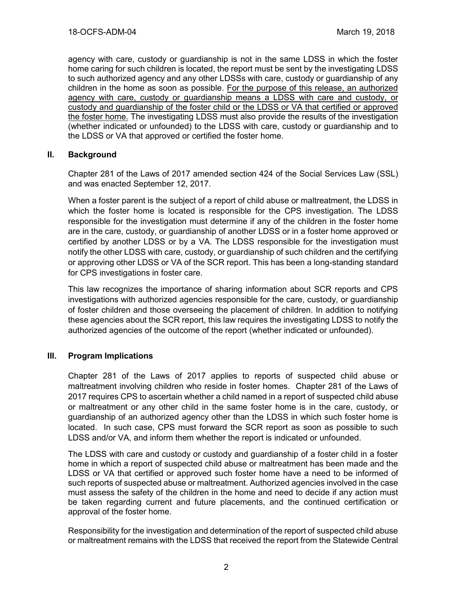agency with care, custody or guardianship is not in the same LDSS in which the foster home caring for such children is located, the report must be sent by the investigating LDSS to such authorized agency and any other LDSSs with care, custody or guardianship of any children in the home as soon as possible. For the purpose of this release, an authorized agency with care, custody or guardianship means a LDSS with care and custody, or custody and guardianship of the foster child or the LDSS or VA that certified or approved the foster home. The investigating LDSS must also provide the results of the investigation (whether indicated or unfounded) to the LDSS with care, custody or guardianship and to the LDSS or VA that approved or certified the foster home.

#### **II. Background**

Chapter 281 of the Laws of 2017 amended section 424 of the Social Services Law (SSL) and was enacted September 12, 2017.

When a foster parent is the subject of a report of child abuse or maltreatment, the LDSS in which the foster home is located is responsible for the CPS investigation. The LDSS responsible for the investigation must determine if any of the children in the foster home are in the care, custody, or guardianship of another LDSS or in a foster home approved or certified by another LDSS or by a VA. The LDSS responsible for the investigation must notify the other LDSS with care, custody, or guardianship of such children and the certifying or approving other LDSS or VA of the SCR report. This has been a long-standing standard for CPS investigations in foster care.

This law recognizes the importance of sharing information about SCR reports and CPS investigations with authorized agencies responsible for the care, custody, or guardianship of foster children and those overseeing the placement of children. In addition to notifying these agencies about the SCR report, this law requires the investigating LDSS to notify the authorized agencies of the outcome of the report (whether indicated or unfounded).

#### **III. Program Implications**

Chapter 281 of the Laws of 2017 applies to reports of suspected child abuse or maltreatment involving children who reside in foster homes. Chapter 281 of the Laws of 2017 requires CPS to ascertain whether a child named in a report of suspected child abuse or maltreatment or any other child in the same foster home is in the care, custody, or guardianship of an authorized agency other than the LDSS in which such foster home is located. In such case, CPS must forward the SCR report as soon as possible to such LDSS and/or VA, and inform them whether the report is indicated or unfounded.

The LDSS with care and custody or custody and guardianship of a foster child in a foster home in which a report of suspected child abuse or maltreatment has been made and the LDSS or VA that certified or approved such foster home have a need to be informed of such reports of suspected abuse or maltreatment. Authorized agencies involved in the case must assess the safety of the children in the home and need to decide if any action must be taken regarding current and future placements, and the continued certification or approval of the foster home.

Responsibility for the investigation and determination of the report of suspected child abuse or maltreatment remains with the LDSS that received the report from the Statewide Central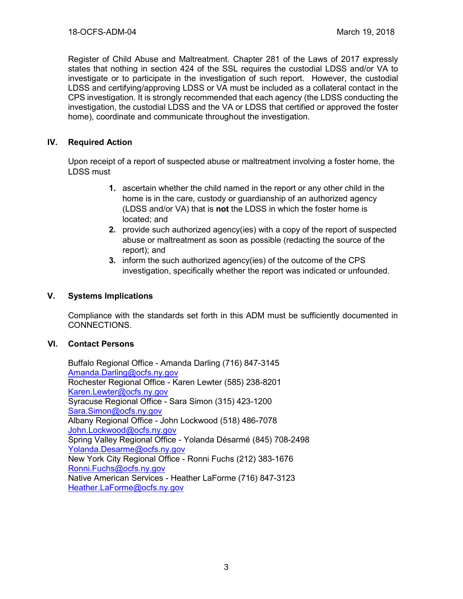Register of Child Abuse and Maltreatment. Chapter 281 of the Laws of 2017 expressly states that nothing in section 424 of the SSL requires the custodial LDSS and/or VA to investigate or to participate in the investigation of such report. However, the custodial LDSS and certifying/approving LDSS or VA must be included as a collateral contact in the CPS investigation. It is strongly recommended that each agency (the LDSS conducting the investigation, the custodial LDSS and the VA or LDSS that certified or approved the foster home), coordinate and communicate throughout the investigation.

#### **IV. Required Action**

Upon receipt of a report of suspected abuse or maltreatment involving a foster home, the LDSS must

- **1.** ascertain whether the child named in the report or any other child in the home is in the care, custody or guardianship of an authorized agency (LDSS and/or VA) that is **not** the LDSS in which the foster home is located; and
- **2.** provide such authorized agency(ies) with a copy of the report of suspected abuse or maltreatment as soon as possible (redacting the source of the report); and
- **3.** inform the such authorized agency(ies) of the outcome of the CPS investigation, specifically whether the report was indicated or unfounded.

#### **V. Systems Implications**

Compliance with the standards set forth in this ADM must be sufficiently documented in CONNECTIONS.

#### **VI. Contact Persons**

Buffalo Regional Office - Amanda Darling (716) 847-3145 [Amanda.Darling@ocfs.ny.gov](mailto:Amanda.Darling@ocfs.ny.gov) Rochester Regional Office - Karen Lewter (585) 238-8201 [Karen.Lewter@ocfs.ny.gov](mailto:Karen.Lewter@ocfs.ny.gov) Syracuse Regional Office - Sara Simon (315) 423-1200 [Sara.Simon@ocfs.ny.gov](mailto:Sara.Simon@ocfs.ny.gov) Albany Regional Office - John Lockwood (518) 486-7078 [John.Lockwood@ocfs.ny.gov](mailto:John.Lockwood@ocfs.ny.gov) Spring Valley Regional Office - Yolanda Désarmé (845) 708-2498 [Yolanda.Desarme@ocfs.ny.gov](mailto:Yolanda.Desarme@ocfs.ny.gov) New York City Regional Office - Ronni Fuchs (212) 383-1676 [Ronni.Fuchs@ocfs.ny.gov](mailto:Ronni.Fuchs@ocfs.ny.gov) Native American Services - Heather LaForme (716) 847-3123 [Heather.LaForme@ocfs.ny.gov](mailto:Heather.LaForme@ocfs.ny.gov)